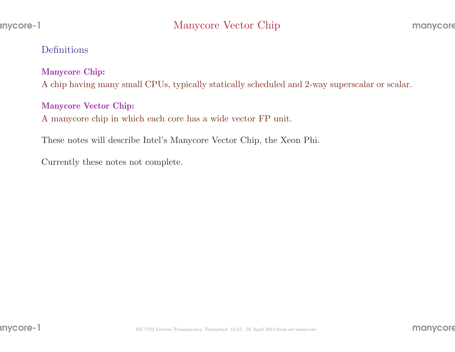#### Definitions

#### Manycore Chip:

<sup>A</sup> chip having many small CPUs, typically statically scheduled and 2-way superscalar or scalar.

#### Manycore Vector Chip:

<sup>A</sup> manycore chip in which each core has <sup>a</sup> wide vector FP unit.

These notes will describe Intel's Manycore Vector Chip, the Xeon Phi.

Currently these notes not complete.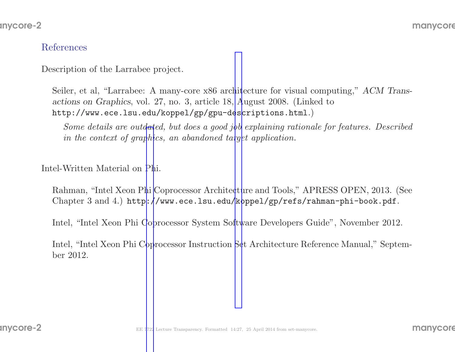#### References

Description of the Larrabee project.

Seiler, et al, "Larrabee: A many-core x86 architecture for visual computing," ACM Transactions on Graphics, vol. 27, no. 3, article 18, August 2008. (Linked tohttp://www.ece.lsu.edu/koppel/gp/gpu-d[es](http://www.ece.lsu.edu/koppel/gp/gpu-descriptions.html)criptions.html.)

Some details are outdated, but does <sup>a</sup> goo<sup>d</sup> job explaining rationale for features. Describedin the context of graphics, an abandoned target application.

Intel-Written Material on Phi.

Rahman, "Intel Xeon Phi Coprocessor Architecture and Tools," APRESS OPEN, 2013. (See $\operatorname{Chapter\ 3\ and\ 4.)\ http://www.ece.lsu.edu/koppel/gp/refs/rahman-phi-book.pdf.}$  $\operatorname{Chapter\ 3\ and\ 4.)\ http://www.ece.lsu.edu/koppel/gp/refs/rahman-phi-book.pdf.}$  $\operatorname{Chapter\ 3\ and\ 4.)\ http://www.ece.lsu.edu/koppel/gp/refs/rahman-phi-book.pdf.}$ 

Intel, "Intel Xeon Phi Coprocessor System Software Developers Guide", November 2012.

Intel, "Intel Xeon Phi Coprocessor Instruction Set Architecture Reference Manual," September 2012.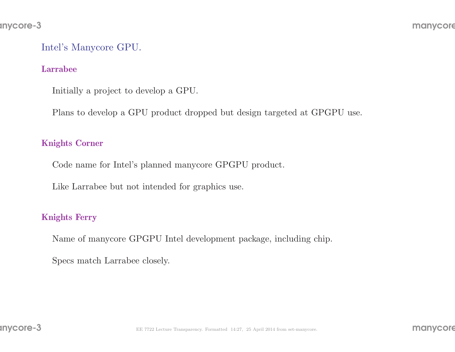## Intel's Manycore GPU.

#### Larrabee

Initially <sup>a</sup> project to develop <sup>a</sup> GPU.

Plans to develop <sup>a</sup> GPU product dropped but design targeted at GPGPU use.

#### Knights Corner

Code name for Intel's <sup>p</sup>lanned manycore GPGPU product.

Like Larrabee but not intended for graphics use.

#### Knights Ferry

Name of manycore GPGPU Intel development package, including chip.

Specs match Larrabee closely.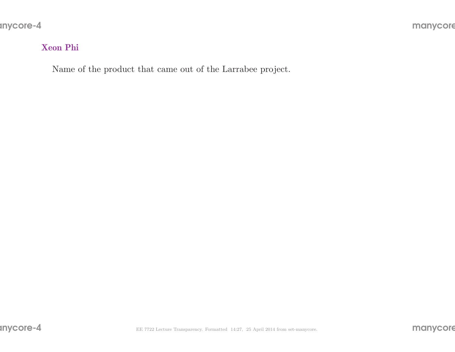# Xeon Phi

Name of the product that came out of the Larrabee project.

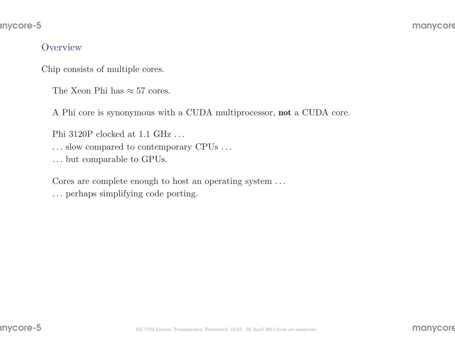#### anycore-5

#### **Overview**

Chip consists of multiple cores.

The Xeon Phi has  $\approx 57$  cores.

A Phi core is synonymous with a CUDA multiprocessor, **not** a CUDA core.

Phi 3120P clocked at 1.1 GHz . . .

. . . slow compared to contemporary CPUs . . .

. . . but comparable to GPUs.

Cores are complete enough to host an operating system ...

. . . perhaps simplifying code porting.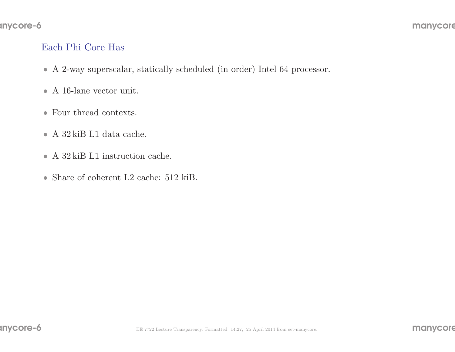# Each Phi Core Has

- <sup>A</sup> 2-way superscalar, statically scheduled (in order) Intel <sup>64</sup> processor.
- A 16-lane vector unit.
- Four thread contexts.
- <sup>A</sup> <sup>32</sup> kiB L1 data cache.
- A 32 kiB L1 instruction cache.
- Share of coherent L2 cache: 512 kiB.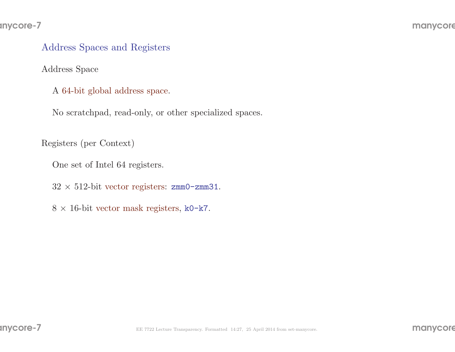# Address Spaces and Registers

Address Space

A 64-bit <sup>g</sup>lobal address space.

No scratchpad, read-only, or other specialized spaces.

Registers (per Context)

One set of Intel <sup>64</sup> registers.

 $32 \times 512$ -bit vector registers: zmm0-zmm31.

 $8 \times 16$ -bit vector mask registers, k0-k7.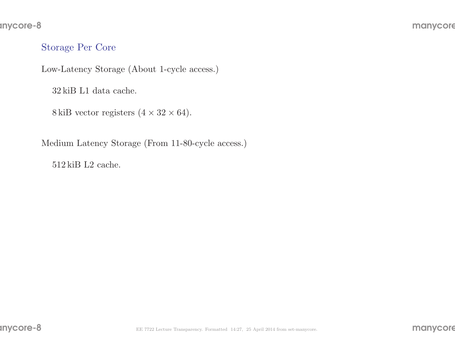# Storage Per Core

Low-Latency Storage (About 1-cycle access.)

<sup>32</sup> kiB L1 data cache.

 $8 \,\text{kiB vector registers}$   $(4 \times 32 \times 64)$ .

Medium Latency Storage (From 11-80-cycle access.)

<sup>512</sup> kiB L2 cache.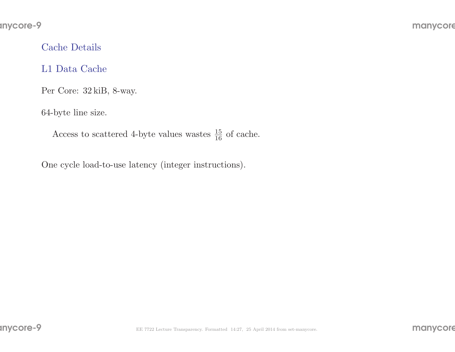# Cache Details

# L1 Data Cache

Per Core: <sup>32</sup> kiB, 8-way.

64-byte line size.

Access to scattered 4-byte values wastes  $\frac{15}{16}$  of cache.

One cycle load-to-use latency (integer instructions).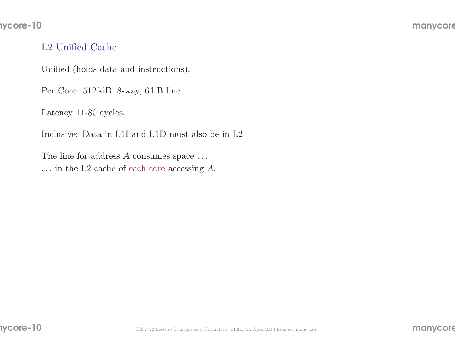# L2 Unified Cache

Unified (holds data and instructions).

Per Core: <sup>512</sup> kiB, 8-way, <sup>64</sup> <sup>B</sup> line.

Latency 11-80 cycles.

Inclusive: Data in L1I and L1D must also be in L2.

The line for address  $A$  consumes space  $\dots$  $\dots$  in the L2 cache of each core accessing A.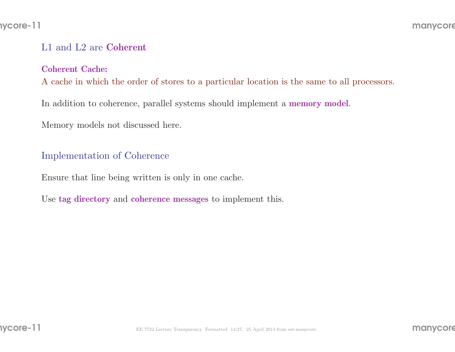#### nycore-11

# L1 and L2 are Coherent

#### Coherent Cache:

<sup>A</sup> cache in which the order of stores to <sup>a</sup> particular location is the same to all processors.

In addition to coherence, parallel systems should implement a **memory model**.

Memory models not discussed here.

## Implementation of Coherence

Ensure that line being written is only in one cache.

Use tag directory and coherence messages to implement this.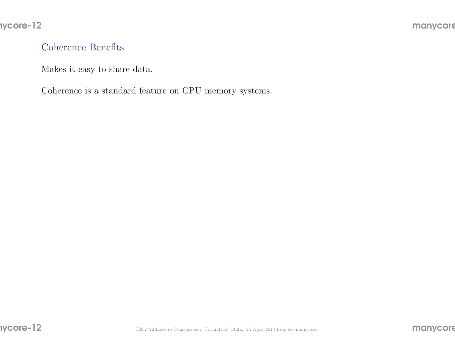# Coherence Benefits

Makes it easy to share data.

Coherence is <sup>a</sup> standard feature on CPU memory systems.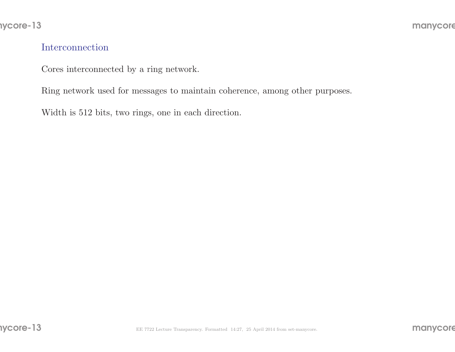#### Interconnection

Cores interconnected by <sup>a</sup> ring network.

Ring network used for messages to maintain coherence, among other purposes.

Width is <sup>512</sup> bits, two rings, one in each direction.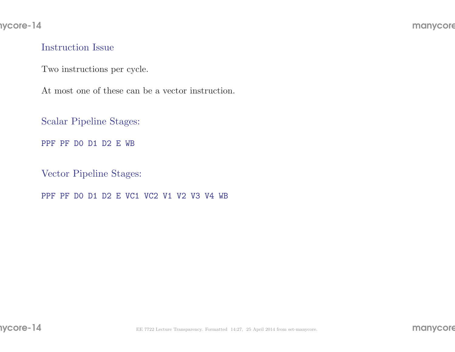#### Instruction Issue

Two instructions per cycle.

At most one of these can be <sup>a</sup> vector instruction.

Scalar Pipeline Stages:

PPF PF D0 D1 D2 <sup>E</sup> WB

Vector Pipeline Stages:

PPF PF D0 D1 D2 <sup>E</sup> VC1 VC2 V1 V2 V3 V4 WB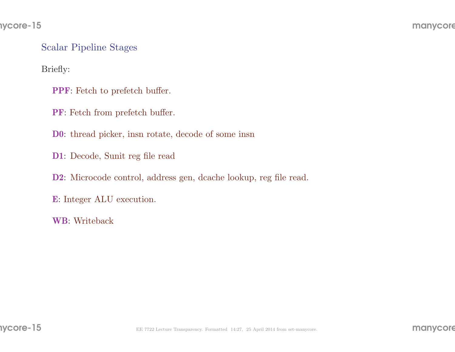Scalar Pipeline Stages

Briefly:

PPF: Fetch to prefetch buffer.

PF: Fetch from prefetch buffer.

D0: thread <sup>p</sup>icker, insn rotate, decode of some insn

D1: Decode, Sunit reg file read

D2: Microcode control, address gen, dcache lookup, reg file read.

E: Integer ALU execution.

WB: Writeback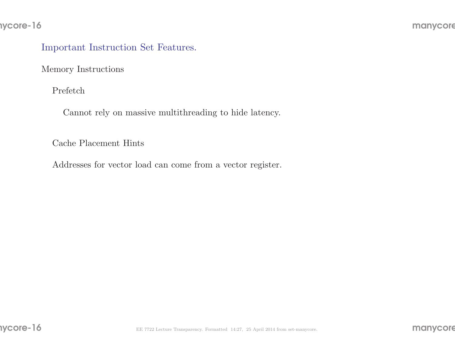#### nycore-16

# Important Instruction Set Features.

Memory Instructions

Prefetch

Cannot rely on massive multithreading to hide latency.

Cache Placement Hints

Addresses for vector load can come from <sup>a</sup> vector register.